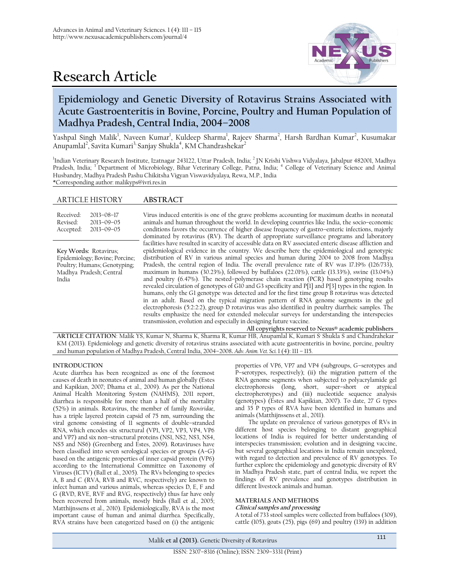# **Research Article**



# **Epidemiology and Genetic Diversity of Rotavirus Strains Associated with Acute Gastroenteritis in Bovine, Porcine, Poultry and Human Population of Madhya Pradesh, Central India, 2004–2008**

Yashpal Singh Malik<sup>1</sup>, Naveen Kumar<sup>1</sup>, Kuldeep Sharma<sup>1</sup>, Rajeev Sharma<sup>2</sup>, Harsh Bardhan Kumar<sup>2</sup>, Kusumakar Anupamlal<sup>2</sup>, Savita Kumari<sup>3,</sup> Sanjay Shukla<sup>4</sup>, KM Chandrashekar<sup>2</sup>

<sup>1</sup>Indian Veterinary Research Institute, Izatnagar 243122, Uttar Pradesh, India; <sup>2</sup> JN Krishi Vishwa Vidyalaya, Jabalpur 482001, Madhya Pradesh, India; <sup>3</sup> Department of Microbiology, Bihar Veterinary College, Patna, India; <sup>4</sup> College of Veterinary Science and Animal Husbandry, Madhya Pradesh Pashu Chikitsha Vigyan Viswavidyalaya*,* Rewa, M.P., India \*Corresponding author: malikyps@ivri.res.in

# ARTICLE HISTORY **ABSTRACT**

| Received <sup>.</sup> | $2013 - 08 - 17$ |
|-----------------------|------------------|
| Revised:              | $2013 - 09 - 05$ |
| Accepted:             | $2013 - 09 - 05$ |

**Key Words:** Rotavirus; Epidemiology; Bovine; Porcine; Poultry; Humans; Genotyping; Madhya Pradesh; Central India

Virus induced enteritis is one of the grave problems accounting for maximum deaths in neonatal animals and human throughout the world. In developing countries like India, the socio–economic conditions favors the occurrence of higher disease frequency of gastro–enteric infections, majorly dominated by rotavirus (RV). The dearth of appropriate surveillance programs and laboratory facilities have resulted in scarcity of accessible data on RV associated enteric disease affliction and epidemiological evidence in the country. We describe here the epidemiological and genotypic distribution of RV in various animal species and human during 2004 to 2008 from Madhya Pradesh, the central region of India. The overall prevalence rate of RV was 17.19% (126/733), maximum in humans (30.23%), followed by buffaloes (22.01%), cattle (13.33%), swine (13.04%) and poultry (6.47%). The nested–polymerase chain reaction (PCR) based genotyping results revealed circulation of genotypes of G10 and G3 specificity and P[1] and P[3] types in the region. In humans, only the G1 genotype was detected and for the first time group B rotavirus was detected in an adult. Based on the typical migration pattern of RNA genome segments in the gel electrophoresis (5:2:2:2), group D rotavirus was also identified in poultry diarrheic samples. The results emphasize the need for extended molecular surveys for understanding the interspecies transmission, evolution and especially in designing future vaccine.

**All copyrights reserved to Nexus® academic publishers ARTICLE CITATION**: Malik YS, Kumar N, Sharma K, Sharma R, Kumar HB, Anupamlal K, Kumari S , Shukla S and Chandrahekar KM (2013). Epidemiology and genetic diversity of rotavirus strains associated with acute gastroenteritis in bovine, porcine, poultry and human population of Madhya Pradesh, Central India, 2004–2008**.** *Adv. Anim. Vet. Sci.* 1 (4): 111 – 115.

# **INTRODUCTION**

Acute diarrhea has been recognized as one of the foremost causes of death in neonates of animal and human globally (Estes and Kapikian, 2007; Dhama et al., 2009). As per the National Animal Health Monitoring System (NAHMS), 2011 report, diarrhea is responsible for more than a half of the mortality (52%) in animals. Rotavirus, the member of family *Reoviridae*, has a triple layered protein capsid of 75 nm, surrounding the viral genome consisting of 11 segments of double–stranded RNA, which encodes six structural (VP1, VP2, VP3, VP4, VP6 and VP7) and six non–structural proteins (NS1, NS2, NS3, NS4, NS5 and NS6) (Greenberg and Estes, 2009). Rotaviruses have been classified into seven serological species or groups (A–G) based on the antigenic properties of inner capsid protein (VP6) according to the International Committee on Taxonomy of Viruses (ICTV) (Ball et al., 2005). The RVs belonging to species A, B and C (RVA, RVB and RVC, respectively) are known to infect human and various animals, whereas species D, E, F and G (RVD, RVE, RVF and RVG, respectively) thus far have only been recovered from animals, mostly birds (Ball et al., 2005; Matthijnssens et al., 2010). Epidemiologically, RVA is the most important cause of human and animal diarrhea. Specifically, RVA strains have been categorized based on (i) the antigenic

properties of VP6, VP7 and VP4 (subgroups, G–serotypes and P–serotypes, respectively); (ii) the migration pattern of the RNA genome segments when subjected to polyacrylamide gel electrophoresis (long, short, super–short or atypical electropherotypes) and (iii) nucleotide sequence analysis (genotypes) (Estes and Kapikian, 2007). To date, 27 G types and 35 P types of RVA have been identified in humans and animals (Matthijnssens et al., 2011).

The update on prevalence of various genotypes of RVs in different host species belonging to distant geographical locations of India is required for better understanding of interspecies transmission; evolution and in designing vaccine, but several geographical locations in India remain unexplored, with regard to detection and prevalence of RV genotypes. To further explore the epidemiology and genotypic diversity of RV in Madhya Pradesh state, part of central India, we report the findings of RV prevalence and genotypes distribution in different livestock animals and human.

# **MATERIALS AND METHODS**

# **Clinical samples and processing**

A total of 733 stool samples were collected from buffaloes (309), cattle (105), goats (25), pigs (69) and poultry (139) in addition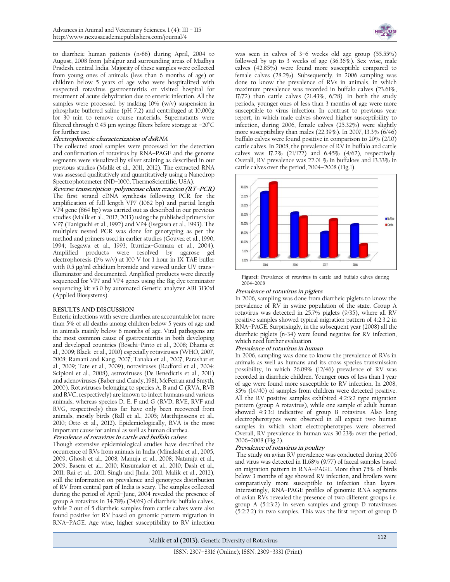to diarrheic human patients (n=86) during April, 2004 to August, 2008 from Jabalpur and surrounding areas of Madhya Pradesh, central India. Majority of these samples were collected from young ones of animals (less than 6 months of age) or children below 5 years of age who were hospitalized with suspected rotavirus gastroenteritis or visited hospital for treatment of acute dehydration due to enteric infection. All the samples were processed by making 10% (w/v) suspension in phosphate buffered saline (pH 7.2) and centrifuged at 10,000g for 30 min to remove course materials. Supernatants were filtered through 0.45 µm syringe filters before storage at  $-20^{\circ}$ C for further use.

## **Electrophoretic characterization of dsRNA**

The collected stool samples were processed for the detection and confirmation of rotavirus by RNA–PAGE and the genome segments were visualized by silver staining as described in our previous studies (Malik et al., 2011, 2012). The extracted RNA was assessed qualitatively and quantitatively using a Nanodrop Spectrophotometer (ND–1000, ThermoScientific, USA).

**Reverse transcription–polymerase chain reaction (RT–PCR)** The first strand cDNA synthesis following PCR for the amplification of full length VP7 (1062 bp) and partial length VP4 gene (864 bp) was carried out as described in our previous studies (Malik et al., 2012; 2013) using the published primers for VP7 (Taniguchi et al., 1992) and VP4 (Isegawa et al., 1993). The multiplex nested PCR was done for genotyping as per the method and primers used in earlier studies (Gouvea et al., 1990, 1994; Isegawa et al., 1993; Iturriza–Gomara et al., 2004). Amplified products were resolved by agarose gel electrophoresis (1% w/v) at 100 V for 1 hour in 1X TAE buffer with 0.5 µg/ml ethidium bromide and viewed under UV trans– illuminator and documented. Amplified products were directly sequenced for VP7 and VP4 genes using the Big dye terminator sequencing kit v3.0 by automated Genetic analyzer ABI 3130xl (Applied Biosystems).

#### **RESULTS AND DISCUSSION**

Enteric infections with severe diarrhea are accountable for more than 5% of all deaths among children below 5 years of age and in animals mainly below 6 months of age. Viral pathogens are the most common cause of gastroenteritis in both developing and developed countries (Boschi–Pinto et al., 2008; Dhama et al., 2009; Black et al., 2010) especially rotaviruses (WHO, 2007, 2008; Ramani and Kang, 2007; Tanaka et al., 2007, Parashar et al., 2009; Tate et al., 2009), noroviruses (Radford et al., 2004; Scipioni et al., 2008), astroviruses (De Benedictis et al., 2011) and adenoviruses (Baber and Candy, 1981; McFerran and Smyth, 2000). Rotaviruses belonging to species A, B and C (RVA, RVB and RVC, respectively) are known to infect humans and various animals, whereas species D, E, F and G (RVD, RVE, RVF and RVG, respectively) thus far have only been recovered from animals, mostly birds (Ball et al., 2005; Matthijnssens et al., 2010; Otto et al., 2012). Epidemiologically, RVA is the most important cause for animal as well as human diarrhea.

#### **Prevalence of rotavirus in cattle and buffalo calves**

Though extensive epidemiological studies have described the occurrence of RVs from animals in India (Minakshi et al., 2005, 2009; Ghosh et al., 2008; Manuja et al., 2008; Nataraju et al., 2009; Basera et al., 2010; Kusumakar et al., 2010; Dash et al., 2011; Rai et al., 2011; Singh and Jhala, 2011; Malik et al., 2012), still the information on prevalence and genotypes distribution of RV from central part of India is scary. The samples collected during the period of April–June, 2004 revealed the presence of group A rotavirus in 34.78% (24/69) of diarrheic buffalo calves, while 2 out of 5 diarrheic samples from cattle calves were also found positive for RV based on genomic pattern migration in RNA–PAGE. Age wise, higher susceptibility to RV infection



was seen in calves of 3–6 weeks old age group (55.55%) followed by up to 3 weeks of age (36.36%). Sex wise, male calves (42.85%) were found more susceptible compared to female calves (28.2%). Subsequently, in 2006 sampling was done to know the prevalence of RVs in animals, in which maximum prevalence was recorded in buffalo calves (23.61%, 17/72) than cattle calves (21.43%, 6/28). In both the study periods, younger ones of less than 3 months of age were more susceptible to virus infection. In contrast to previous year report, in which male calves showed higher susceptibility to infection, during 2006, female calves (25.32%) were slightly more susceptibility than males (22.39%). In 2007, 13.3% (6/46) buffalo calves were found positive in comparison to 20% (2/10) cattle calves. In 2008, the prevalence of RV in buffalo and cattle calves was 17.2% (21/122) and 6.45% (4/62), respectively. Overall, RV prevalence was 22.01 % in buffaloes and 13.33% in cattle calves over the period, 2004–2008 (Fig.1).



**Figure1:** Prevalence of rotavirus in cattle and buffalo calves during 2004–2008

# **Prevalence of rotavirus in piglets**

In 2006, sampling was done from diarrheic piglets to know the prevalence of RV in swine population of the state. Group A rotavirus was detected in 25.7% piglets (9/35), where all RV positive samples showed typical migration pattern of 4:2:3:2 in RNA–PAGE. Surprisingly, in the subsequent year (2008) all the diarrheic piglets (n=34) were found negative for RV infection, which need further evaluation.

## **Prevalence of rotavirus in human**

In 2006, sampling was done to know the prevalence of RVs in animals as well as humans and its cross species transmission possibility, in which 26.09% (12/46) prevalence of RV was recorded in diarrheic children. Younger ones of less than 1 year of age were found more susceptible to RV infection. In 2008, 35% (14/40) of samples from children were detected positive. All the RV positive samples exhibited 4:2:3:2 type migration pattern (group A rotavirus), while one sample of adult human showed 4:3:3:1 indicative of group B rotavirus. Also long electropherotypes were observed in all expect two human samples in which short electropherotypes were observed. Overall, RV prevalence in human was 30.23% over the period, 2006–2008 (Fig.2).

#### **Prevalence of rotavirus in poultry**

The study on avian RV prevalence was conducted during 2006 and virus was detected in 11.68% (9/77) of faecal samples based on migration pattern in RNA–PAGE. More than 75% of birds below 3 months of age showed RV infection, and broilers were comparatively more susceptible to infection than layers. Interestingly, RNA–PAGE profiles of genomic RNA segments of avian RVs revealed the presence of two different groups i.e. group A (5:1:3:2) in seven samples and group D rotaviruses (5:2:2:2) in two samples. This was the first report of group D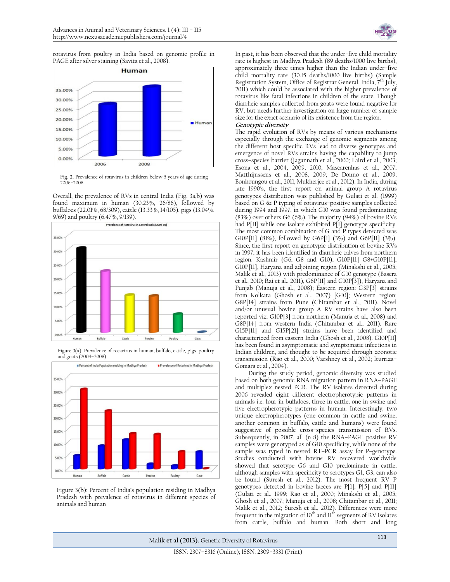

rotavirus from poultry in India based on genomic profile in PAGE after silver staining (Savita et al., 2008).



**Fig. 2.** Prevalence of rotavirus in children below 5 years of age during 2006–2008.

Overall, the prevalence of RVs in central India (Fig. 3a,b) was found maximum in human (30.23%, 26/86), followed by buffaloes (22.01%, 68/309), cattle (13.33%, 14/105), pigs (13.04%, 9/69) and poultry (6.47%, 9/139).



Figure 3(a): Prevalence of rotavirus in human, buffalo, cattle, pigs, poultry and goats (2004–2008).



Figure 3(b): Percent of India's population residing in Madhya Pradesh with prevalence of rotavirus in different species of animals and human

In past, it has been observed that the under–five child mortality rate is highest in Madhya Pradesh (89 deaths/1000 live births), approximately three times higher than the Indian under–five child mortality rate (30.15 deaths/1000 live births) (Sample Registration System, Office of Registrar General, India, 7<sup>th</sup> July, 2011) which could be associated with the higher prevalence of rotavirus like fatal infections in children of the state. Though diarrheic samples collected from goats were found negative for RV, but needs further investigation on large number of sample size for the exact scenario of its existence from the region. **Genotypic diversity**

#### The rapid evolution of RVs by means of various mechanisms especially through the exchange of genomic segments among the different host specific RVs lead to diverse genotypes and emergence of novel RVs strains having the capability to jump cross–species barrier (Jagannath et al., 2000; Laird et al., 2003; Esona et al., 2004, 2009, 2010; Mascarenhas et al., 2007; Matthijnssens et al., 2008, 2009; De Donno et al., 2009; Bonkoungou et al., 2011; Mukherjee et al., 2012). In India, during late 1990's, the first report on animal group A rotavirus genotypes distribution was published by Gulati et al. (1999) based on G & P typing of rotavirus–positive samples collected during 1994 and 1997, in which G10 was found predominating (83%) over others G6 (6%). The majority (94%) of bovine RVs had P[11] while one isolate exhibited P[1] genotype specificity. The most common combination of G and P types detected was G10P[11] (81%), followed by G6P[1] (3%) and G6P[11] (3%). Since, the first report on genotypic distribution of bovine RVs in 1997, it has been identified in diarrheic calves from northern region: Kashmir (G6, G8 and G10), G10P[11] G8+G10P[11]; G10P[11], Haryana and adjoining region (Minakshi et al., 2005; Malik et al., 2013) with predominance of G10 genotype (Basera et al., 2010; Rai et al., 2011), G6P[11] and G10P[3]), Haryana and Punjab (Manuja et al., 2008); Eastern region: G3P[3] strains from Kolkata (Ghosh et al., 2007) [G10]; Western region: G8P[14] strains from Pune (Chitambar et al., 2011). Novel and/or unusual bovine group A RV strains have also been reported viz. G10P[3] from northern (Manuja et al., 2008) and G8P[14] from western India (Chitambar et al., 2011). Rare G15P[11] and G15P[21] strains have been identified and characterized from eastern India (Ghosh et al., 2008). G10P[11] has been found in asymptomatic and symptomatic infections in Indian children, and thought to be acquired through zoonotic transmission (Rao et al., 2000; Varshney et al., 2002; Iturriza– Gomara et al., 2004).

During the study period, genomic diversity was studied based on both genomic RNA migration pattern in RNA–PAGE and multiplex nested PCR. The RV isolates detected during 2006 revealed eight different electropherotypic patterns in animals i.e. four in buffaloes, three in cattle, one in swine and five electropherotypic patterns in human. Interestingly, two unique electropherotypes (one common in cattle and swine; another common in buffalo, cattle and humans) were found suggestive of possible cross–species transmission of RVs. Subsequently, in 2007, all (n=8) the RNA–PAGE positive RV samples were genotyped as of G10 specificity, while none of the sample was typed in nested RT–PCR assay for P–genotype. Studies conducted with bovine RV recovered worldwide showed that serotype G6 and G10 predominate in cattle, although samples with specificity to serotypes G1, G3, can also be found (Suresh et al., 2012). The most frequent RV P genotypes detected in bovine faeces are P[1]; P[5] and P[11] (Gulati et al., 1999; Rao et al., 2000; Minakshi et al., 2005; Ghosh et al., 2007; Manuja et al., 2008; Chitambar et al., 2011; Malik et al., 2012; Suresh et al., 2012). Differences were more frequent in the migration of 10 $^{\rm th}$  and 11 $^{\rm th}$  segments of RV isolates from cattle, buffalo and human. Both short and long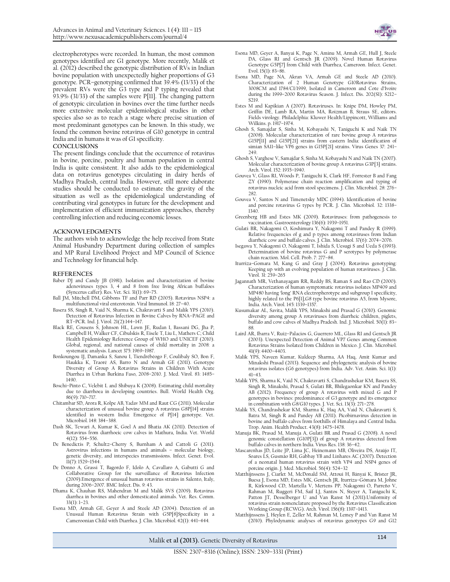electropherotypes were recorded. In human, the most common genotypes identified are G1 genotype. More recently, Malik et al. (2012) described the genotypic distribution of RVs in Indian bovine population with unexpectedly higher proportions of G3 genotype. PCR–genotyping confirmed that 39.4% (13/33) of the prevalent RVs were the G3 type and P typing revealed that 93.9% (31/33) of the samples were P[11]. The changing pattern of genotypic circulation in bovines over the time further needs more extensive molecular epidemiological studies in other species also so as to reach a stage where precise situation of most predominant genotypes can be known. In this study, we found the common bovine rotavirus of G10 genotype in central India and in humans it was of G1 specificity.

#### **CONCLUSIONS**

The present findings conclude that the occurrence of rotavirus in bovine, porcine, poultry and human population in central India is quite consistent. It also adds to the epidemiological data on rotavirus genotypes circulating in dairy herds of Madhya Pradesh, central India. However, still more elaborate studies should be conducted to estimate the gravity of the situation as well as the epidemiological understanding of contributing viral genotypes in future for the development and implementation of efficient immunization approaches, thereby controlling infection and reducing economic losses.

#### **ACKNOWLEDGMENTS**

The authors wish to acknowledge the help received from State Animal Husbandry Department during collection of samples and MP Rural Livelihood Project and MP Council of Science and Technology for financial help.

#### **REFERENCES**

- Baber DJ and Candy JB (1981). Isolation and characterization of bovine adenoviruses types 3, 4 and 8 from free living African buffaloes (Syncerus caffer). Res. Vet. Sci. 31(1): 69–75.
- Ball JM, Mitchell DM, Gibbons TF and Parr RD (2005). Rotavirus NSP4: a multifunctional viral enterotoxin. Viral Immunol. 18: 27–40.
- Basera SS, Singh R, Vaid N, Sharma K, Chakravarti S and Malik YPS (2010). Detection of Rotavirus Infection in Bovine Calves by RNA–PAGE and RT–PCR. Ind. J. Virol. 21(2):144–147.
- Black RE, Cousens S, Johnson HL, Lawn JE, Rudan I, Bassani DG, Jha P, Campbell H, Walker CF, Cibulskis R, Eisele T, Liu L, Mathers C; Child Health Epidemiology Reference Group of WHO and UNICEF (2010). Global, regional, and national causes of child mortality in 2008: a systematic analysis. Lancet 375: 1969–1987.
- Bonkoungou IJ, Damanka S, Sanou I, Tiendrébéogo F, Coulibaly SO, Bon F, Haukka K, Traoré AS, Barro N and Armah GE (2011). Genotype Diversity of Group A Rotavirus Strains in Children With Acute Diarrhea in Urban Burkina Faso, 2008–2010. J. Med. Virol. 83: 1485– 1490.
- Boschi–Pinto C, Velebit L and Shibuya K (2008). Estimating child mortality due to diarrhoea in developing countries. Bull. World Health Org. 86(9): 710–717.
- Chitambar SD, Arora R, Kolpe AB, Yadav MM and Raut CG (2011). Molecular characterization of unusual bovine group A rotavirus G8P[14] strains identified in western India: Emergence of P[14] genotype. Vet. Microbiol. 148: 384–388.
- Dash SK, Tewari A, Kumar K, Goel A and Bhatia AK (2011). Detection of Rotavirus from diarrhoeic cow calves in Mathura, India. Vet. World 4(12): 554–556.
- De Benedictis P, Schultz–Cherry S, Burnham A and Cattoli G (2011). Astrovirus infections in humans and animals – molecular biology, genetic diversity, and interspecies transmissions. Infect. Genet. Evol.  $\text{II}(7)$ : 1529-1544.
- De Donno A, Grassi T, Bagordo F, Idolo A, Cavallaro A, Gabutti G and Collaborative Group for the surveillance of Rotavirus Infection (2009).Emergence of unusual human rotavirus strains in Salento, Italy, during 2006–2007. BMC Infect. Dis. 9: 43.
- Dhama K, Chauhan RS, Mahendran M and Malik SVS (2009). Rotavirus diarrhea in bovines and other domesticated animals. Vet. Res. Comm. 33(1): 1–23.
- Esona MD, Armah GE, Geyer A and Steele AD (2004). Detection of an Unusual Human Rotavirus Strain with G5P[8]Specificity in a Cameroonian Child with Diarrhea. J. Clin. Microbiol. 42(1): 441–444*.*



- Esona MD, Geyer A, Banyai K, Page N, Aminu M, Armah GE, Hull J, Steele DA, Glass RI and Gentsch JR (2009). Novel Human Rotavirus Genotype G5P[7] from Child with Diarrhea, Cameroon. Infect. Genet. Evol. 15(1): 83–86.
- Esona MD, Page NA, Akran VA, Armah GE and Steele AD (2010). Characterization of 2 Human Genotype G10Rotavirus Strains, 3008CM and 1784/CI/1999, Isolated in Cameroon and Cote d'Ivoire during the 1999–2000 Rotavirus Season. J. Infect. Dis. 202(S1): S212– S219.
- Estes M and Kapikian A (2007). Rotaviruses. In: Knipe DM, Howley PM, Griffin DE, Lamb RA, Martin MA, Roizman B, Straus SE, editors. Fields virology. Philadelphia: Kluwer Health/Lippincott, Williams and Wilkins. p. 1917–1974.
- Ghosh S, Samajdar S, Sinha M, Kobayashi N, Taniguchi K and Naik TN (2008). Molecular characterization of rare bovine group A rotavirus G15P[11] and G15P[21] strains from eastern India: identification of simian SA11–like VP6 genes in G15P[21] strains. Virus Genes 37: 241– 249.
- Ghosh S, Varghese V, Samajdar S, Sinha M, Kobayashi N and Naik TN (2007). Molecular characterization of bovine group A rotavirus G3P[3] strains. Arch. Virol. 152: 1935–1940.
- Gouvea V, Glass RI, Woods P, Taniguchi K, Clark HF, Forrester B and Fang ZY (1990). Polymerase chain reaction amplification and typing of rotavirus nucleic acid from stool specimens. J. Clin. Microbiol. 28: 276– 282.
- Gouvea V, Santos N and Timenetsky MDC (1994). Identification of bovine and porcine rotavirus G types by PCR. J. Clin. Microbiol. 32: 1338– 1340.
- Greenberg HB and Estes MK (2009). Rotaviruses: from pathogenesis to vaccination. Gastroenterology 136(6): 1939–1951.
- Gulati BR, Nakagomi O, Koshimura Y, Nakagomi T and Pandey R (1999). Relative frequencies of g and p types among rotaviruses from Indian diarrheic cow and buffalo calves. J. Clin. Microbiol. 37(6): 2074–2076.
- Isegawa Y, Nakagomi O, Nakagomi T, Ishida S, Uesugi S and Ueda S (1993). Determination of bovine rotavirus G and P serotypes by polymerase chain reaction. Mol. Cell. Prob. 7: 277–84.
- Iturriza–Gomara M, Kang G and Gray J (2004). Rotavirus genotyping: Keeping up with an evolving population of human rotaviruses. J. Clin. Virol. 31: 259–265
- Jagannath MR, Vethanayagam RR, Reddy BS, Raman S and Rao CD (2000). Characterization of human symptomatic rotavirus isolates MP409 and MP480 having 'long' RNA electropherotype and subgroup I specificity, highly related to the P6[1],G8 type bovine rotavirus A5, from Mysore, India. Arch. Virol. 145: 1339–1357.
- Kusumakar AL, Savita, Malik YPS, Minakshi and Prasad G (2010). Genomic diversity among group A rotaviruses from diarrheic children, piglets, buffalo and cow calves of Madhya Pradesh. Ind. J. Microbiol. 50(1): 83– 88.
- Laird AR, Ibarra V, Ruiz–Palacios G, Guerrero ML, Glass RI and Gentsch JR (2003). Unexpected Detection of Animal VP7 Genes among Common Rotavirus Strains Isolated from Children in Mexico. J. Clin. Microbiol. 41(9): 4400–4403.
- Malik YPS, Naveen Kumar, Kuldeep Sharma, AA Haq, Amit Kumar and Minakshi Prasad (2013). Sequence and phylogenetic analysis of bovine rotavirus isolates (G6 genotypes) from India. Adv. Vet. Anim. Sci. 1(1):  $41-43$
- Malik YPS, Sharma K, Vaid N, Chakravarti S, Chandrashekar KM, Basera SS, Singh R, Minakshi, Prasad S, Gulati BR, Bhilegaonkar KN and Pandey AB (2012). Frequency of group A rotavirus with mixed G and P genotypes in bovines: predominance of G3 genotype and its emergence in combination with  $G_8/G10$  types. J. Vet. Sci. 13(3): 271–278.
- Malik YS, Chandrashekar KM, Sharma K, Haq AA, Vaid N, Chakravarti S, Batra M, Singh R and Pandey AB (2011). Picobirnavirus detection in bovine and buffalo calves from foothills of Himalaya and Central India. Trop. Anim. Health Product. 43(8): 1475–1478.
- Manuja BK, Prasad M, Manuja A, Gulati BR and Prasad G (2008). A novel genomic constellation (G10P[3]) of group A rotavirus detected from buffalo calves in northern India. Virus Res. 138: 36–42.
- Mascarenhas JD, Leite JP, Lima JC, Heinemann MB, Oliveira DS, Araújo IT, Soares LS, Gusmão RH, Gabbay YB and Linhares AC (2007). Detection of a neonatal human rotavirus strain with VP4 and NSP4 genes of porcine origin. J. Med. Microbiol. 56(4): 524–32
- Matthijnssens J, Ciarlet M, McDonald SM, Attoui H, Bányai K, Brister JR, Buesa J, Esona MD, Estes MK, Gentsch JR, Iturriza–Gómara M, Johne R, Kirkwood CD, Martella V, Mertens PP, Nakagomi O, Parreño V, Rahman M, Ruggeri FM, Saif LJ, Santos N, Steyer A, Taniguchi K, Patton JT, Desselberger U and Van Ranst M (2011).Uniformity of rotavirus strain nomenclature proposed by the Rotavirus Classification Working Group (RCWG). Arch. Virol. 156(8): 1397–1413.
- Matthijnssens J, Heylen E, Zeller M, Rahman M, Lemey P and Van Ranst M (2010). Phylodynamic analyses of rotavirus genotypes G9 and G12